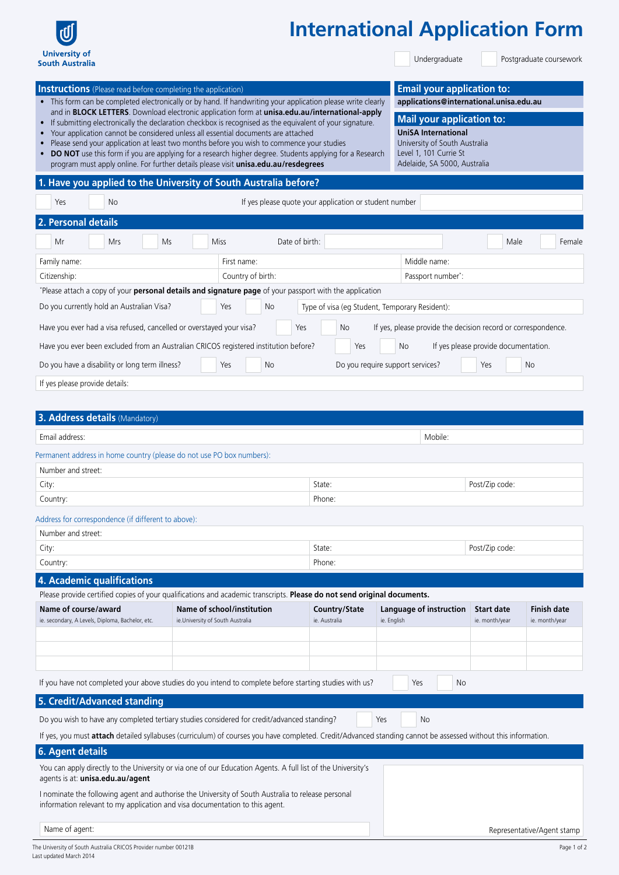

## **International Application Form**

Undergraduate

Postgraduate coursework

| <b>Instructions</b> (Please read before completing the application)<br>• This form can be completed electronically or by hand. If handwriting your application please write clearly<br>and in BLOCK LETTERS. Download electronic application form at unisa.edu.au/international-apply<br>If submitting electronically the declaration checkbox is recognised as the equivalent of your signature.<br>Your application cannot be considered unless all essential documents are attached<br>$\bullet$<br>Please send your application at least two months before you wish to commence your studies<br>$\bullet$<br>DO NOT use this form if you are applying for a research higher degree. Students applying for a Research<br>program must apply online. For further details please visit unisa.edu.au/resdegrees<br>1. Have you applied to the University of South Australia before?<br><b>No</b><br>Yes<br>2. Personal details | Level 1, 101 Currie St<br>If yes please quote your application or student number                                                                              | <b>Email your application to:</b><br>applications@international.unisa.edu.au<br><b>Mail your application to:</b><br><b>UniSA International</b><br>University of South Australia<br>Adelaide, SA 5000, Australia |                                                               |                                      |                                      |
|--------------------------------------------------------------------------------------------------------------------------------------------------------------------------------------------------------------------------------------------------------------------------------------------------------------------------------------------------------------------------------------------------------------------------------------------------------------------------------------------------------------------------------------------------------------------------------------------------------------------------------------------------------------------------------------------------------------------------------------------------------------------------------------------------------------------------------------------------------------------------------------------------------------------------------|---------------------------------------------------------------------------------------------------------------------------------------------------------------|-----------------------------------------------------------------------------------------------------------------------------------------------------------------------------------------------------------------|---------------------------------------------------------------|--------------------------------------|--------------------------------------|
| Mr<br>Mrs                                                                                                                                                                                                                                                                                                                                                                                                                                                                                                                                                                                                                                                                                                                                                                                                                                                                                                                      | Date of birth:<br><b>Miss</b><br>Ms                                                                                                                           |                                                                                                                                                                                                                 |                                                               | Male                                 | Female                               |
| Family name:                                                                                                                                                                                                                                                                                                                                                                                                                                                                                                                                                                                                                                                                                                                                                                                                                                                                                                                   | First name:                                                                                                                                                   |                                                                                                                                                                                                                 | Middle name:                                                  |                                      |                                      |
| Citizenship:                                                                                                                                                                                                                                                                                                                                                                                                                                                                                                                                                                                                                                                                                                                                                                                                                                                                                                                   | Country of birth:                                                                                                                                             |                                                                                                                                                                                                                 | Passport number*:                                             |                                      |                                      |
|                                                                                                                                                                                                                                                                                                                                                                                                                                                                                                                                                                                                                                                                                                                                                                                                                                                                                                                                | *Please attach a copy of your personal details and signature page of your passport with the application                                                       |                                                                                                                                                                                                                 |                                                               |                                      |                                      |
| Do you currently hold an Australian Visa?                                                                                                                                                                                                                                                                                                                                                                                                                                                                                                                                                                                                                                                                                                                                                                                                                                                                                      | No<br>Yes                                                                                                                                                     | Type of visa (eg Student, Temporary Resident):                                                                                                                                                                  |                                                               |                                      |                                      |
| Have you ever had a visa refused, cancelled or overstayed your visa?                                                                                                                                                                                                                                                                                                                                                                                                                                                                                                                                                                                                                                                                                                                                                                                                                                                           |                                                                                                                                                               | No<br>Yes                                                                                                                                                                                                       | If yes, please provide the decision record or correspondence. |                                      |                                      |
|                                                                                                                                                                                                                                                                                                                                                                                                                                                                                                                                                                                                                                                                                                                                                                                                                                                                                                                                |                                                                                                                                                               |                                                                                                                                                                                                                 |                                                               |                                      |                                      |
|                                                                                                                                                                                                                                                                                                                                                                                                                                                                                                                                                                                                                                                                                                                                                                                                                                                                                                                                | Have you ever been excluded from an Australian CRICOS registered institution before?                                                                          | Yes                                                                                                                                                                                                             | No                                                            | If yes please provide documentation. |                                      |
| Do you have a disability or long term illness?                                                                                                                                                                                                                                                                                                                                                                                                                                                                                                                                                                                                                                                                                                                                                                                                                                                                                 | Yes<br>No.                                                                                                                                                    |                                                                                                                                                                                                                 | Do you require support services?                              | Yes                                  | <b>No</b>                            |
| If yes please provide details:                                                                                                                                                                                                                                                                                                                                                                                                                                                                                                                                                                                                                                                                                                                                                                                                                                                                                                 |                                                                                                                                                               |                                                                                                                                                                                                                 |                                                               |                                      |                                      |
| 3. Address details (Mandatory)<br>Email address:<br>Permanent address in home country (please do not use PO box numbers):                                                                                                                                                                                                                                                                                                                                                                                                                                                                                                                                                                                                                                                                                                                                                                                                      |                                                                                                                                                               |                                                                                                                                                                                                                 | Mobile:                                                       |                                      |                                      |
| Number and street:                                                                                                                                                                                                                                                                                                                                                                                                                                                                                                                                                                                                                                                                                                                                                                                                                                                                                                             |                                                                                                                                                               | State:                                                                                                                                                                                                          |                                                               |                                      |                                      |
| City:                                                                                                                                                                                                                                                                                                                                                                                                                                                                                                                                                                                                                                                                                                                                                                                                                                                                                                                          |                                                                                                                                                               |                                                                                                                                                                                                                 |                                                               | Post/Zip code:                       |                                      |
| Country:                                                                                                                                                                                                                                                                                                                                                                                                                                                                                                                                                                                                                                                                                                                                                                                                                                                                                                                       |                                                                                                                                                               | Phone:                                                                                                                                                                                                          |                                                               |                                      |                                      |
| Address for correspondence (if different to above):                                                                                                                                                                                                                                                                                                                                                                                                                                                                                                                                                                                                                                                                                                                                                                                                                                                                            |                                                                                                                                                               |                                                                                                                                                                                                                 |                                                               |                                      |                                      |
| Number and street:                                                                                                                                                                                                                                                                                                                                                                                                                                                                                                                                                                                                                                                                                                                                                                                                                                                                                                             |                                                                                                                                                               |                                                                                                                                                                                                                 |                                                               |                                      |                                      |
| City:                                                                                                                                                                                                                                                                                                                                                                                                                                                                                                                                                                                                                                                                                                                                                                                                                                                                                                                          |                                                                                                                                                               |                                                                                                                                                                                                                 |                                                               | Post/Zip code:                       |                                      |
| Country:                                                                                                                                                                                                                                                                                                                                                                                                                                                                                                                                                                                                                                                                                                                                                                                                                                                                                                                       |                                                                                                                                                               | Phone:                                                                                                                                                                                                          |                                                               |                                      |                                      |
| 4. Academic qualifications                                                                                                                                                                                                                                                                                                                                                                                                                                                                                                                                                                                                                                                                                                                                                                                                                                                                                                     |                                                                                                                                                               |                                                                                                                                                                                                                 |                                                               |                                      |                                      |
|                                                                                                                                                                                                                                                                                                                                                                                                                                                                                                                                                                                                                                                                                                                                                                                                                                                                                                                                | Please provide certified copies of your qualifications and academic transcripts. Please do not send original documents.                                       |                                                                                                                                                                                                                 |                                                               |                                      |                                      |
| Name of course/award<br>ie. secondary, A Levels, Diploma, Bachelor, etc.                                                                                                                                                                                                                                                                                                                                                                                                                                                                                                                                                                                                                                                                                                                                                                                                                                                       | <b>Name of school/institution</b><br>ie.University of South Australia                                                                                         | Country/State<br>ie. Australia                                                                                                                                                                                  | Language of instruction<br>ie. English                        | <b>Start date</b><br>ie. month/year  | <b>Finish date</b><br>ie. month/year |
|                                                                                                                                                                                                                                                                                                                                                                                                                                                                                                                                                                                                                                                                                                                                                                                                                                                                                                                                |                                                                                                                                                               |                                                                                                                                                                                                                 |                                                               |                                      |                                      |
|                                                                                                                                                                                                                                                                                                                                                                                                                                                                                                                                                                                                                                                                                                                                                                                                                                                                                                                                | If you have not completed your above studies do you intend to complete before starting studies with us?                                                       |                                                                                                                                                                                                                 | No<br>Yes                                                     |                                      |                                      |
|                                                                                                                                                                                                                                                                                                                                                                                                                                                                                                                                                                                                                                                                                                                                                                                                                                                                                                                                |                                                                                                                                                               |                                                                                                                                                                                                                 |                                                               |                                      |                                      |
| 5. Credit/Advanced standing                                                                                                                                                                                                                                                                                                                                                                                                                                                                                                                                                                                                                                                                                                                                                                                                                                                                                                    |                                                                                                                                                               |                                                                                                                                                                                                                 |                                                               |                                      |                                      |
|                                                                                                                                                                                                                                                                                                                                                                                                                                                                                                                                                                                                                                                                                                                                                                                                                                                                                                                                | Do you wish to have any completed tertiary studies considered for credit/advanced standing?                                                                   |                                                                                                                                                                                                                 | Yes<br><b>No</b>                                              |                                      |                                      |
|                                                                                                                                                                                                                                                                                                                                                                                                                                                                                                                                                                                                                                                                                                                                                                                                                                                                                                                                | If yes, you must attach detailed syllabuses (curriculum) of courses you have completed. Credit/Advanced standing cannot be assessed without this information. |                                                                                                                                                                                                                 |                                                               |                                      |                                      |
| <b>6. Agent details</b>                                                                                                                                                                                                                                                                                                                                                                                                                                                                                                                                                                                                                                                                                                                                                                                                                                                                                                        |                                                                                                                                                               |                                                                                                                                                                                                                 |                                                               |                                      |                                      |
| agents is at: unisa.edu.au/agent                                                                                                                                                                                                                                                                                                                                                                                                                                                                                                                                                                                                                                                                                                                                                                                                                                                                                               | You can apply directly to the University or via one of our Education Agents. A full list of the University's                                                  |                                                                                                                                                                                                                 |                                                               |                                      |                                      |
| information relevant to my application and visa documentation to this agent.                                                                                                                                                                                                                                                                                                                                                                                                                                                                                                                                                                                                                                                                                                                                                                                                                                                   | I nominate the following agent and authorise the University of South Australia to release personal                                                            |                                                                                                                                                                                                                 |                                                               |                                      |                                      |
| Name of agent:                                                                                                                                                                                                                                                                                                                                                                                                                                                                                                                                                                                                                                                                                                                                                                                                                                                                                                                 |                                                                                                                                                               |                                                                                                                                                                                                                 |                                                               |                                      | Representative/Agent stamp           |